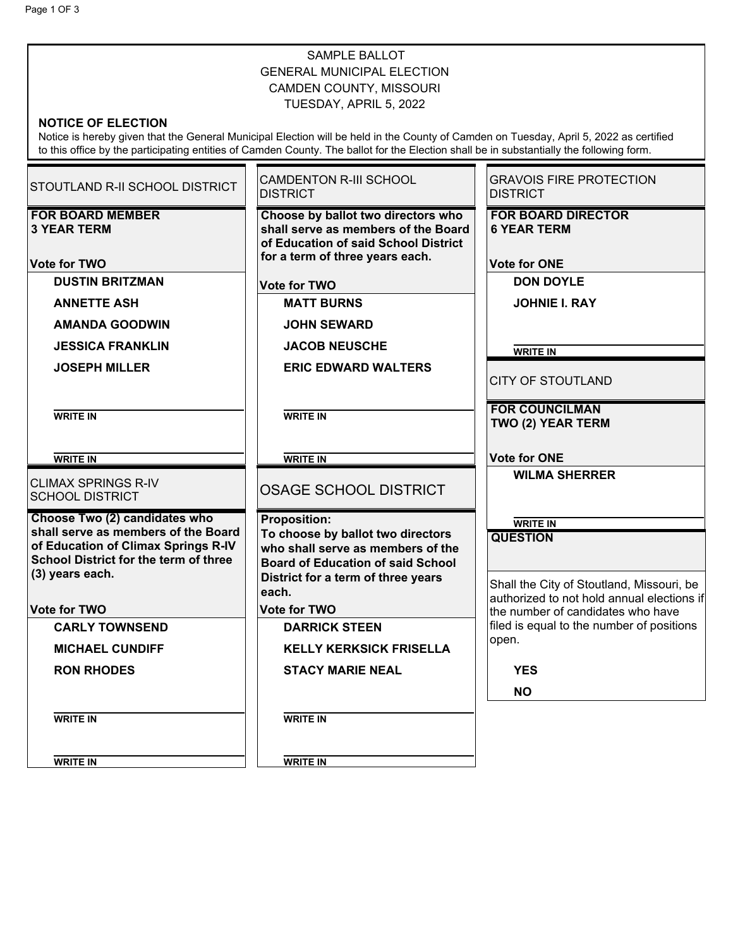## SAMPLE BALLOT GENERAL MUNICIPAL ELECTION CAMDEN COUNTY, MISSOURI TUESDAY, APRIL 5, 2022

## **NOTICE OF ELECTION**

Notice is hereby given that the General Municipal Election will be held in the County of Camden on Tuesday, April 5, 2022 as certified to this office by the participating entities of Camden County. The ballot for the Election shall be in substantially the following form.

Ŧ

 $\overline{\phantom{a}}$ 

| <b>STOUTLAND R-II SCHOOL DISTRICT</b>                                                                                                         | <b>CAMDENTON R-III SCHOOL</b><br><b>DISTRICT</b>                                                                                                         | <b>GRAVOIS FIRE PROTECTION</b><br><b>DISTRICT</b>                              |
|-----------------------------------------------------------------------------------------------------------------------------------------------|----------------------------------------------------------------------------------------------------------------------------------------------------------|--------------------------------------------------------------------------------|
| <b>FOR BOARD MEMBER</b><br><b>3 YEAR TERM</b>                                                                                                 | Choose by ballot two directors who<br>shall serve as members of the Board<br>of Education of said School District<br>for a term of three years each.     | <b>FOR BOARD DIRECTOR</b><br><b>6 YEAR TERM</b>                                |
| <b>Vote for TWO</b><br><b>DUSTIN BRITZMAN</b>                                                                                                 |                                                                                                                                                          | <b>Vote for ONE</b><br><b>DON DOYLE</b>                                        |
|                                                                                                                                               | <b>Vote for TWO</b><br>◯                                                                                                                                 |                                                                                |
| <b>ANNETTE ASH</b>                                                                                                                            | <b>MATT BURNS</b>                                                                                                                                        | <b>JOHNIE I. RAY</b>                                                           |
| $\circlearrowright$ AMANDA GOODWIN                                                                                                            | <b>JOHN SEWARD</b><br>C)                                                                                                                                 | $\subset$                                                                      |
| <b>JESSICA FRANKLIN</b>                                                                                                                       | <b>JACOB NEUSCHE</b>                                                                                                                                     | <b>WRITE IN</b>                                                                |
| <b>JOSEPH MILLER</b>                                                                                                                          | $\circlearrowright$ ERIC EDWARD WALTERS                                                                                                                  | <b>CITY OF STOUTLAND</b>                                                       |
| <b>WRITE IN</b>                                                                                                                               | <b>WRITE IN</b>                                                                                                                                          | <b>FOR COUNCILMAN</b><br>TWO (2) YEAR TERM                                     |
| <b>WRITE IN</b>                                                                                                                               | <b>WRITE IN</b>                                                                                                                                          | <b>Vote for ONE</b>                                                            |
| <b>CLIMAX SPRINGS R-IV</b><br><b>SCHOOL DISTRICT</b>                                                                                          | OSAGE SCHOOL DISTRICT                                                                                                                                    | $\circlearrowright$ wilma sherrer<br>$\subset$                                 |
| Choose Two (2) candidates who                                                                                                                 | <b>Proposition:</b>                                                                                                                                      | <b>WRITE IN</b>                                                                |
| shall serve as members of the Board<br>of Education of Climax Springs R-IV<br><b>School District for the term of three</b><br>(3) years each. | To choose by ballot two directors<br>who shall serve as members of the<br><b>Board of Education of said School</b><br>District for a term of three years | <b>QUESTION</b><br>Shall the City of Stoutland, Missouri, be                   |
|                                                                                                                                               | each.                                                                                                                                                    | authorized to not hold annual elections if                                     |
| <b>Vote for TWO</b><br><b>CARLY TOWNSEND</b>                                                                                                  | <b>Vote for TWO</b><br><b>DARRICK STEEN</b>                                                                                                              | the number of candidates who have<br>filed is equal to the number of positions |
| <b>MICHAEL CUNDIFF</b>                                                                                                                        | <b>KELLY KERKSICK FRISELLA</b><br>C)                                                                                                                     | open.                                                                          |
|                                                                                                                                               |                                                                                                                                                          |                                                                                |
| <b>RON RHODES</b>                                                                                                                             | <b>STACY MARIE NEAL</b>                                                                                                                                  | <b>YES</b>                                                                     |
|                                                                                                                                               | ◯                                                                                                                                                        | <b>NO</b>                                                                      |
| <b>WRITE IN</b>                                                                                                                               | <b>WRITE IN</b><br>O                                                                                                                                     |                                                                                |

**WRITE IN**

**WRITE IN**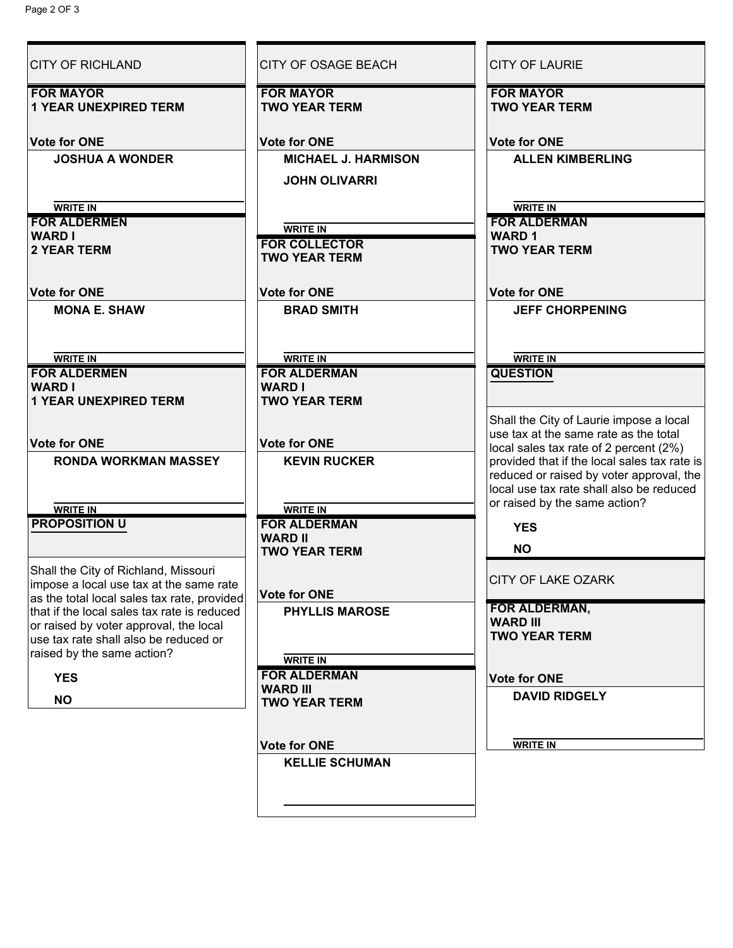| <b>CITY OF RICHLAND</b>                                                                | <b>CITY OF OSAGE BEACH</b> | <b>CITY OF LAURIE</b>                                                                  |
|----------------------------------------------------------------------------------------|----------------------------|----------------------------------------------------------------------------------------|
| <b>FOR MAYOR</b>                                                                       | <b>FOR MAYOR</b>           | <b>FOR MAYOR</b>                                                                       |
| <b>1 YEAR UNEXPIRED TERM</b>                                                           | <b>TWO YEAR TERM</b>       | <b>TWO YEAR TERM</b>                                                                   |
| <b>Vote for ONE</b>                                                                    | <b>Vote for ONE</b>        | <b>Vote for ONE</b>                                                                    |
| <b>JOSHUA A WONDER</b>                                                                 | <b>MICHAEL J. HARMISON</b> | <b>ALLEN KIMBERLING</b>                                                                |
|                                                                                        | <b>JOHN OLIVARRI</b>       |                                                                                        |
| <b>WRITE IN</b>                                                                        |                            | <b>WRITE IN</b>                                                                        |
| <b>FOR ALDERMEN</b>                                                                    | <b>WRITE IN</b>            | <b>FOR ALDERMAN</b>                                                                    |
| <b>WARD I</b>                                                                          | <b>FOR COLLECTOR</b>       | <b>WARD1</b>                                                                           |
| <b>2 YEAR TERM</b>                                                                     | <b>TWO YEAR TERM</b>       | <b>TWO YEAR TERM</b>                                                                   |
| <b>Vote for ONE</b>                                                                    | <b>Vote for ONE</b>        | <b>Vote for ONE</b>                                                                    |
| <b>MONA E. SHAW</b>                                                                    | <b>BRAD SMITH</b>          | <b>JEFF CHORPENING</b>                                                                 |
|                                                                                        |                            |                                                                                        |
| <b>WRITE IN</b>                                                                        | <b>WRITE IN</b>            | <b>WRITE IN</b>                                                                        |
| <b>FOR ALDERMEN</b>                                                                    | <b>FOR ALDERMAN</b>        | <b>QUESTION</b>                                                                        |
| <b>WARD I</b>                                                                          | <b>WARD I</b>              |                                                                                        |
| <b>1 YEAR UNEXPIRED TERM</b>                                                           | <b>TWO YEAR TERM</b>       |                                                                                        |
|                                                                                        |                            | Shall the City of Laurie impose a local                                                |
| <b>Vote for ONE</b>                                                                    | <b>Vote for ONE</b>        | use tax at the same rate as the total                                                  |
| <b>RONDA WORKMAN MASSEY</b>                                                            | <b>KEVIN RUCKER</b>        | local sales tax rate of 2 percent (2%)<br>provided that if the local sales tax rate is |
|                                                                                        |                            | reduced or raised by voter approval, the                                               |
|                                                                                        |                            | local use tax rate shall also be reduced                                               |
| <b>WRITE IN</b>                                                                        | <b>WRITE IN</b>            | or raised by the same action?                                                          |
| <b>PROPOSITION U</b>                                                                   | <b>FOR ALDERMAN</b>        | <b>YES</b>                                                                             |
|                                                                                        | <b>WARD II</b>             | $\circlearrowright$ no                                                                 |
|                                                                                        | <b>TWO YEAR TERM</b>       |                                                                                        |
| Shall the City of Richland, Missouri                                                   |                            | <b>CITY OF LAKE OZARK</b>                                                              |
| impose a local use tax at the same rate<br>as the total local sales tax rate, provided | <b>Vote for ONE</b>        |                                                                                        |
| that if the local sales tax rate is reduced                                            | <b>PHYLLIS MAROSE</b>      | FOR ALDERMAN,                                                                          |
| or raised by voter approval, the local                                                 |                            | <b>WARD III</b>                                                                        |
| use tax rate shall also be reduced or                                                  |                            | <b>TWO YEAR TERM</b>                                                                   |
| raised by the same action?                                                             | <b>WRITE IN</b>            |                                                                                        |
| <b>YES</b>                                                                             | <b>FOR ALDERMAN</b>        | <b>Vote for ONE</b>                                                                    |
| <b>NO</b>                                                                              | <b>WARD III</b>            | <b>DAVID RIDGELY</b>                                                                   |
|                                                                                        | <b>TWO YEAR TERM</b>       |                                                                                        |
|                                                                                        | <b>Vote for ONE</b>        | <b>WRITE IN</b>                                                                        |
|                                                                                        | <b>KELLIE SCHUMAN</b>      |                                                                                        |
|                                                                                        |                            |                                                                                        |